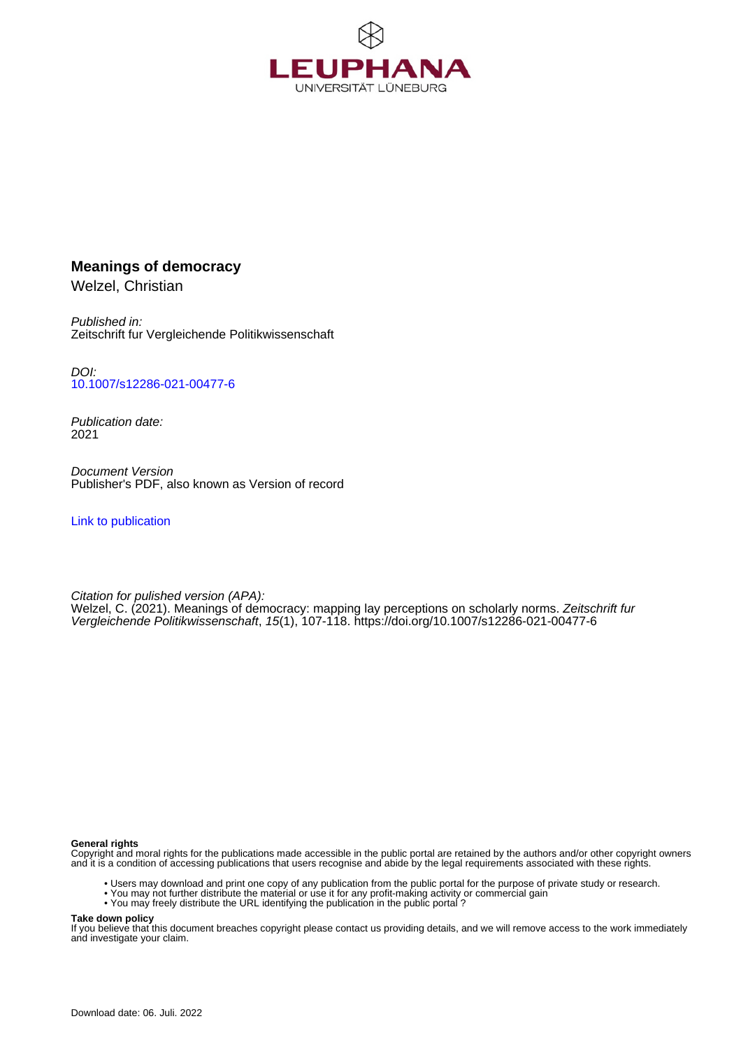

# **Meanings of democracy**

Welzel, Christian

Published in: Zeitschrift fur Vergleichende Politikwissenschaft

DOI: [10.1007/s12286-021-00477-6](https://doi.org/10.1007/s12286-021-00477-6)

Publication date: 2021

Document Version Publisher's PDF, also known as Version of record

[Link to publication](http://fox.leuphana.de/portal/en/publications/meanings-of-democracy(65da20ed-24b3-42ea-95b0-bebf7b5a76d9).html)

Citation for pulished version (APA): [Welzel, C.](http://fox.leuphana.de/portal/de/persons/christian-welzel(48599c0c-e782-4543-a8bf-9dcf7cbf38e7).html) (2021). [Meanings of democracy: mapping lay perceptions on scholarly norms.](http://fox.leuphana.de/portal/de/publications/meanings-of-democracy(65da20ed-24b3-42ea-95b0-bebf7b5a76d9).html) [Zeitschrift fur](http://fox.leuphana.de/portal/de/journals/zeitschrift-fur-vergleichende-politikwissenschaft(67b6e7d2-f6e5-40ed-b8e4-bac0eb5d663e)/publications.html) [Vergleichende Politikwissenschaft](http://fox.leuphana.de/portal/de/journals/zeitschrift-fur-vergleichende-politikwissenschaft(67b6e7d2-f6e5-40ed-b8e4-bac0eb5d663e)/publications.html), 15(1), 107-118.<https://doi.org/10.1007/s12286-021-00477-6>

#### **General rights**

Copyright and moral rights for the publications made accessible in the public portal are retained by the authors and/or other copyright owners and it is a condition of accessing publications that users recognise and abide by the legal requirements associated with these rights.

- Users may download and print one copy of any publication from the public portal for the purpose of private study or research.
- You may not further distribute the material or use it for any profit-making activity or commercial gain
- You may freely distribute the URL identifying the publication in the public portal ?

#### **Take down policy**

If you believe that this document breaches copyright please contact us providing details, and we will remove access to the work immediately and investigate your claim.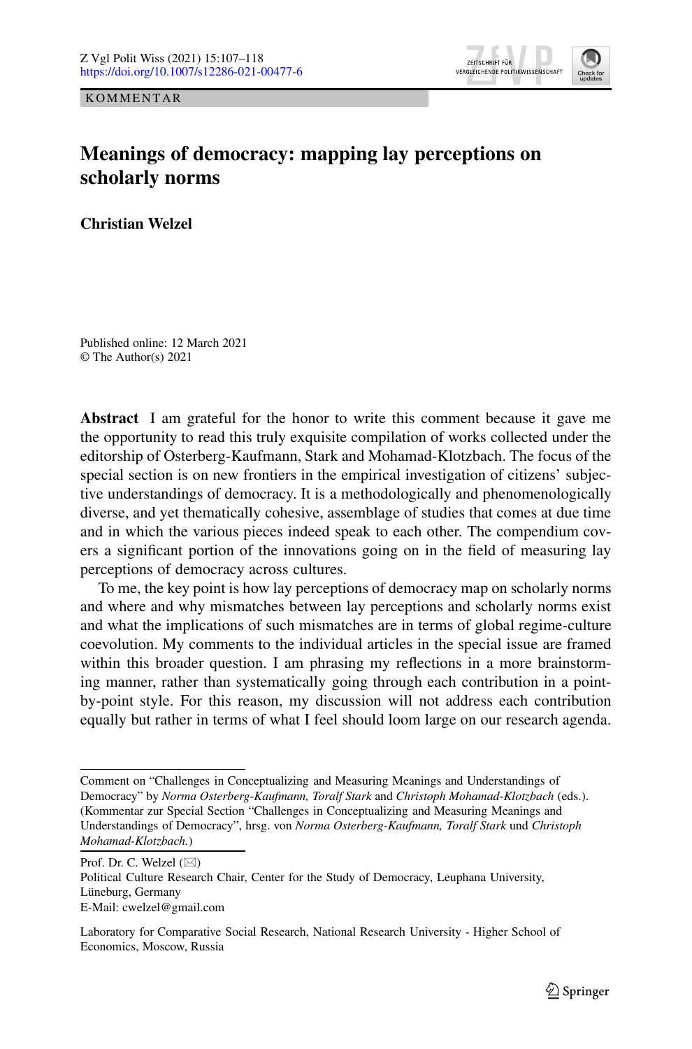KOMMENTAR



# **Meanings of democracy: mapping lay perceptions on scholarly norms**

**Christian Welzel**

Published online: 12 March 2021 © The Author(s) 2021

**Abstract** I am grateful for the honor to write this comment because it gave me the opportunity to read this truly exquisite compilation of works collected under the editorship of Osterberg-Kaufmann, Stark and Mohamad-Klotzbach. The focus of the special section is on new frontiers in the empirical investigation of citizens' subjective understandings of democracy. It is a methodologically and phenomenologically diverse, and yet thematically cohesive, assemblage of studies that comes at due time and in which the various pieces indeed speak to each other. The compendium covers a significant portion of the innovations going on in the field of measuring lay perceptions of democracy across cultures.

To me, the key point is how lay perceptions of democracy map on scholarly norms and where and why mismatches between lay perceptions and scholarly norms exist and what the implications of such mismatches are in terms of global regime-culture coevolution. My comments to the individual articles in the special issue are framed within this broader question. I am phrasing my reflections in a more brainstorming manner, rather than systematically going through each contribution in a pointby-point style. For this reason, my discussion will not address each contribution equally but rather in terms of what I feel should loom large on our research agenda.

Prof. Dr. C. Welzel  $(\boxtimes)$ 

Political Culture Research Chair, Center for the Study of Democracy, Leuphana University, Lüneburg, Germany E-Mail: cwelzel@gmail.com

Laboratory for Comparative Social Research, National Research University - Higher School of Economics, Moscow, Russia

Comment on "Challenges in Conceptualizing and Measuring Meanings and Understandings of Democracy" by *Norma Osterberg-Kaufmann, Toralf Stark* and *Christoph Mohamad-Klotzbach* (eds.). (Kommentar zur Special Section "Challenges in Conceptualizing and Measuring Meanings and Understandings of Democracy", hrsg. von *Norma Osterberg-Kaufmann, Toralf Stark* und *Christoph Mohamad-Klotzbach.*)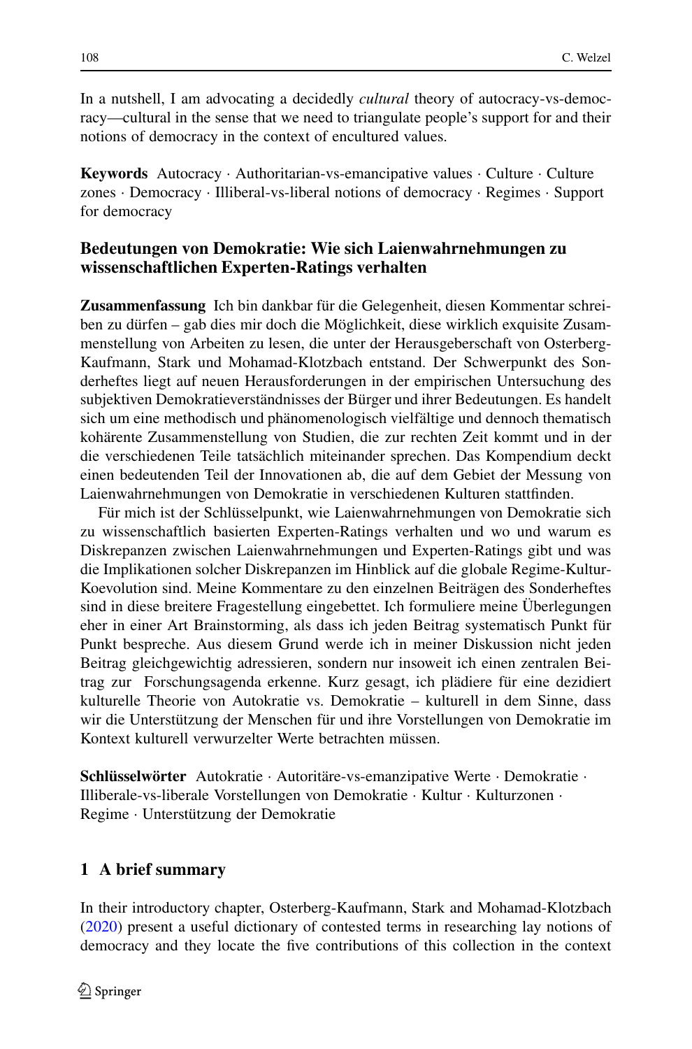In a nutshell, I am advocating a decidedly *cultural* theory of autocracy-vs-democracy—cultural in the sense that we need to triangulate people's support for and their notions of democracy in the context of encultured values.

**Keywords** Autocracy · Authoritarian-vs-emancipative values · Culture · Culture zones · Democracy · Illiberal-vs-liberal notions of democracy · Regimes · Support for democracy

# **Bedeutungen von Demokratie: Wie sich Laienwahrnehmungen zu wissenschaftlichen Experten-Ratings verhalten**

**Zusammenfassung** Ich bin dankbar für die Gelegenheit, diesen Kommentar schreiben zu dürfen – gab dies mir doch die Möglichkeit, diese wirklich exquisite Zusammenstellung von Arbeiten zu lesen, die unter der Herausgeberschaft von Osterberg-Kaufmann, Stark und Mohamad-Klotzbach entstand. Der Schwerpunkt des Sonderheftes liegt auf neuen Herausforderungen in der empirischen Untersuchung des subjektiven Demokratieverständnisses der Bürger und ihrer Bedeutungen. Es handelt sich um eine methodisch und phänomenologisch vielfältige und dennoch thematisch kohärente Zusammenstellung von Studien, die zur rechten Zeit kommt und in der die verschiedenen Teile tatsächlich miteinander sprechen. Das Kompendium deckt einen bedeutenden Teil der Innovationen ab, die auf dem Gebiet der Messung von Laienwahrnehmungen von Demokratie in verschiedenen Kulturen stattfinden.

Für mich ist der Schlüsselpunkt, wie Laienwahrnehmungen von Demokratie sich zu wissenschaftlich basierten Experten-Ratings verhalten und wo und warum es Diskrepanzen zwischen Laienwahrnehmungen und Experten-Ratings gibt und was die Implikationen solcher Diskrepanzen im Hinblick auf die globale Regime-Kultur-Koevolution sind. Meine Kommentare zu den einzelnen Beiträgen des Sonderheftes sind in diese breitere Fragestellung eingebettet. Ich formuliere meine Überlegungen eher in einer Art Brainstorming, als dass ich jeden Beitrag systematisch Punkt für Punkt bespreche. Aus diesem Grund werde ich in meiner Diskussion nicht jeden Beitrag gleichgewichtig adressieren, sondern nur insoweit ich einen zentralen Beitrag zur Forschungsagenda erkenne. Kurz gesagt, ich plädiere für eine dezidiert kulturelle Theorie von Autokratie vs. Demokratie – kulturell in dem Sinne, dass wir die Unterstützung der Menschen für und ihre Vorstellungen von Demokratie im Kontext kulturell verwurzelter Werte betrachten müssen.

**Schlüsselwörter** Autokratie · Autoritäre-vs-emanzipative Werte · Demokratie · Illiberale-vs-liberale Vorstellungen von Demokratie · Kultur · Kulturzonen · Regime · Unterstützung der Demokratie

## **1 A brief summary**

In their introductory chapter, Osterberg-Kaufmann, Stark and Mohamad-Klotzbach [\(2020\)](#page-12-0) present a useful dictionary of contested terms in researching lay notions of democracy and they locate the five contributions of this collection in the context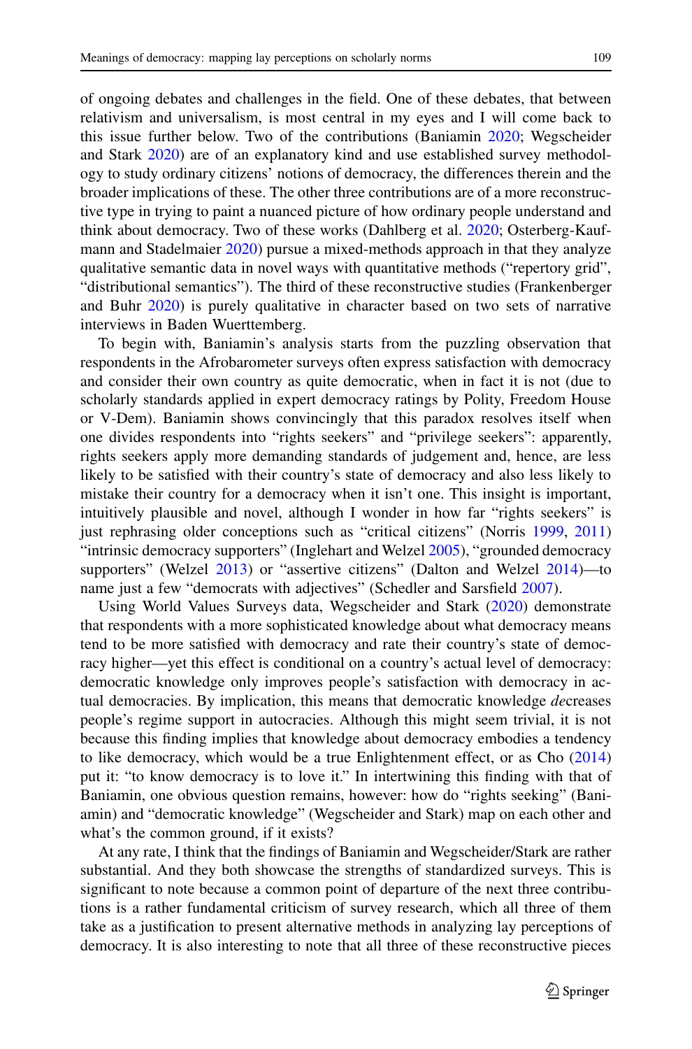of ongoing debates and challenges in the field. One of these debates, that between relativism and universalism, is most central in my eyes and I will come back to this issue further below. Two of the contributions (Baniamin [2020;](#page-11-0) Wegscheider and Stark [2020\)](#page-12-1) are of an explanatory kind and use established survey methodology to study ordinary citizens' notions of democracy, the differences therein and the broader implications of these. The other three contributions are of a more reconstructive type in trying to paint a nuanced picture of how ordinary people understand and think about democracy. Two of these works (Dahlberg et al. [2020;](#page-11-1) Osterberg-Kaufmann and Stadelmaier [2020\)](#page-12-2) pursue a mixed-methods approach in that they analyze qualitative semantic data in novel ways with quantitative methods ("repertory grid", "distributional semantics"). The third of these reconstructive studies (Frankenberger and Buhr [2020\)](#page-11-2) is purely qualitative in character based on two sets of narrative interviews in Baden Wuerttemberg.

To begin with, Baniamin's analysis starts from the puzzling observation that respondents in the Afrobarometer surveys often express satisfaction with democracy and consider their own country as quite democratic, when in fact it is not (due to scholarly standards applied in expert democracy ratings by Polity, Freedom House or V-Dem). Baniamin shows convincingly that this paradox resolves itself when one divides respondents into "rights seekers" and "privilege seekers": apparently, rights seekers apply more demanding standards of judgement and, hence, are less likely to be satisfied with their country's state of democracy and also less likely to mistake their country for a democracy when it isn't one. This insight is important, intuitively plausible and novel, although I wonder in how far "rights seekers" is just rephrasing older conceptions such as "critical citizens" (Norris [1999,](#page-12-3) [2011\)](#page-12-4) "intrinsic democracy supporters" (Inglehart and Welzel [2005\)](#page-11-3), "grounded democracy supporters" (Welzel [2013\)](#page-12-5) or "assertive citizens" (Dalton and Welzel [2014\)](#page-11-4)—to name just a few "democrats with adjectives" (Schedler and Sarsfield [2007\)](#page-12-6).

Using World Values Surveys data, Wegscheider and Stark [\(2020\)](#page-12-1) demonstrate that respondents with a more sophisticated knowledge about what democracy means tend to be more satisfied with democracy and rate their country's state of democracy higher—yet this effect is conditional on a country's actual level of democracy: democratic knowledge only improves people's satisfaction with democracy in actual democracies. By implication, this means that democratic knowledge *de*creases people's regime support in autocracies. Although this might seem trivial, it is not because this finding implies that knowledge about democracy embodies a tendency to like democracy, which would be a true Enlightenment effect, or as Cho [\(2014\)](#page-11-5) put it: "to know democracy is to love it." In intertwining this finding with that of Baniamin, one obvious question remains, however: how do "rights seeking" (Baniamin) and "democratic knowledge" (Wegscheider and Stark) map on each other and what's the common ground, if it exists?

At any rate, I think that the findings of Baniamin and Wegscheider/Stark are rather substantial. And they both showcase the strengths of standardized surveys. This is significant to note because a common point of departure of the next three contributions is a rather fundamental criticism of survey research, which all three of them take as a justification to present alternative methods in analyzing lay perceptions of democracy. It is also interesting to note that all three of these reconstructive pieces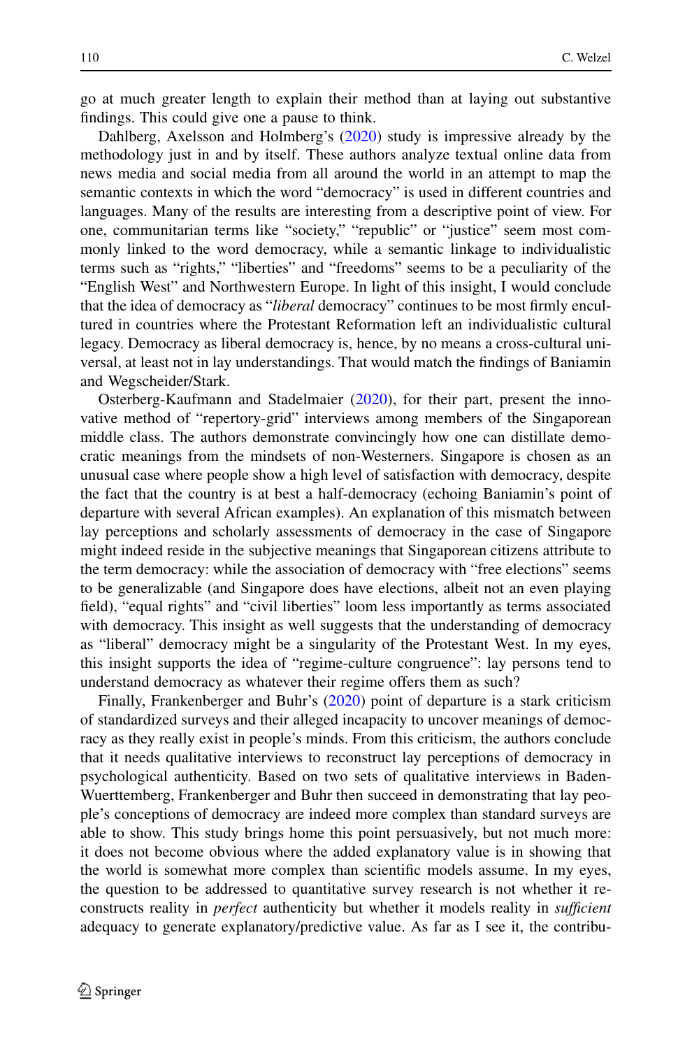go at much greater length to explain their method than at laying out substantive findings. This could give one a pause to think.

Dahlberg, Axelsson and Holmberg's [\(2020\)](#page-11-1) study is impressive already by the methodology just in and by itself. These authors analyze textual online data from news media and social media from all around the world in an attempt to map the semantic contexts in which the word "democracy" is used in different countries and languages. Many of the results are interesting from a descriptive point of view. For one, communitarian terms like "society," "republic" or "justice" seem most commonly linked to the word democracy, while a semantic linkage to individualistic terms such as "rights," "liberties" and "freedoms" seems to be a peculiarity of the "English West" and Northwestern Europe. In light of this insight, I would conclude that the idea of democracy as "*liberal* democracy" continues to be most firmly encultured in countries where the Protestant Reformation left an individualistic cultural legacy. Democracy as liberal democracy is, hence, by no means a cross-cultural universal, at least not in lay understandings. That would match the findings of Baniamin and Wegscheider/Stark.

Osterberg-Kaufmann and Stadelmaier [\(2020\)](#page-12-2), for their part, present the innovative method of "repertory-grid" interviews among members of the Singaporean middle class. The authors demonstrate convincingly how one can distillate democratic meanings from the mindsets of non-Westerners. Singapore is chosen as an unusual case where people show a high level of satisfaction with democracy, despite the fact that the country is at best a half-democracy (echoing Baniamin's point of departure with several African examples). An explanation of this mismatch between lay perceptions and scholarly assessments of democracy in the case of Singapore might indeed reside in the subjective meanings that Singaporean citizens attribute to the term democracy: while the association of democracy with "free elections" seems to be generalizable (and Singapore does have elections, albeit not an even playing field), "equal rights" and "civil liberties" loom less importantly as terms associated with democracy. This insight as well suggests that the understanding of democracy as "liberal" democracy might be a singularity of the Protestant West. In my eyes, this insight supports the idea of "regime-culture congruence": lay persons tend to understand democracy as whatever their regime offers them as such?

Finally, Frankenberger and Buhr's [\(2020\)](#page-11-2) point of departure is a stark criticism of standardized surveys and their alleged incapacity to uncover meanings of democracy as they really exist in people's minds. From this criticism, the authors conclude that it needs qualitative interviews to reconstruct lay perceptions of democracy in psychological authenticity. Based on two sets of qualitative interviews in Baden-Wuerttemberg, Frankenberger and Buhr then succeed in demonstrating that lay people's conceptions of democracy are indeed more complex than standard surveys are able to show. This study brings home this point persuasively, but not much more: it does not become obvious where the added explanatory value is in showing that the world is somewhat more complex than scientific models assume. In my eyes, the question to be addressed to quantitative survey research is not whether it reconstructs reality in *perfect* authenticity but whether it models reality in *sufficient* adequacy to generate explanatory/predictive value. As far as I see it, the contribu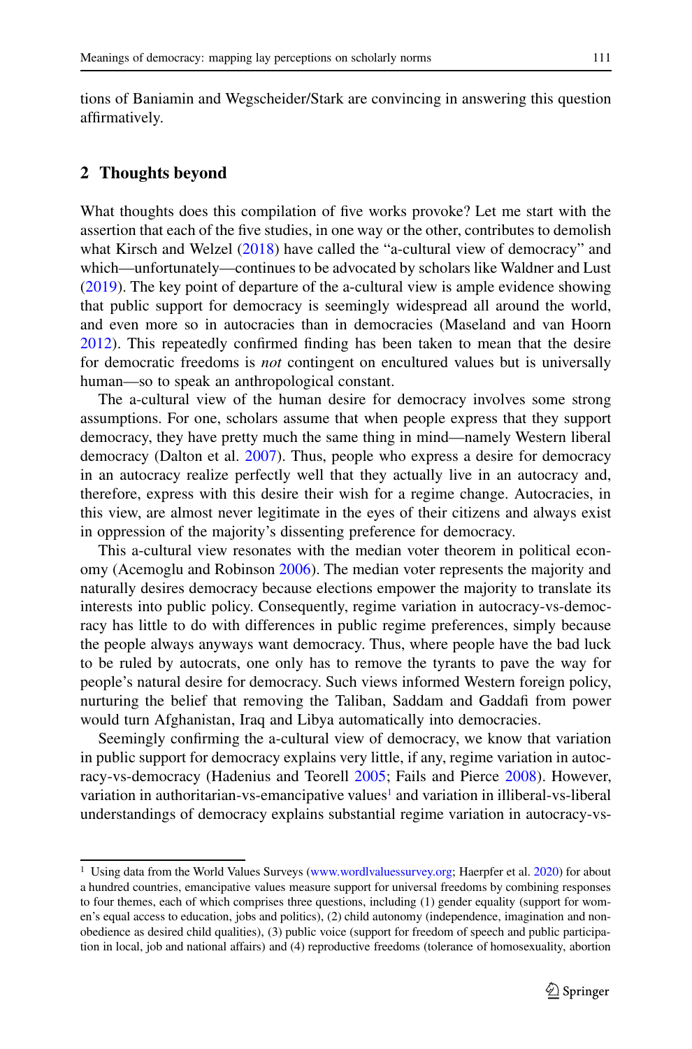tions of Baniamin and Wegscheider/Stark are convincing in answering this question affirmatively.

### **2 Thoughts beyond**

What thoughts does this compilation of five works provoke? Let me start with the assertion that each of the five studies, in one way or the other, contributes to demolish what Kirsch and Welzel [\(2018\)](#page-11-6) have called the "a-cultural view of democracy" and which—unfortunately—continues to be advocated by scholars like Waldner and Lust [\(2019\)](#page-12-7). The key point of departure of the a-cultural view is ample evidence showing that public support for democracy is seemingly widespread all around the world, and even more so in autocracies than in democracies (Maseland and van Hoorn [2012\)](#page-12-8). This repeatedly confirmed finding has been taken to mean that the desire for democratic freedoms is *not* contingent on encultured values but is universally human—so to speak an anthropological constant.

The a-cultural view of the human desire for democracy involves some strong assumptions. For one, scholars assume that when people express that they support democracy, they have pretty much the same thing in mind—namely Western liberal democracy (Dalton et al. [2007\)](#page-11-7). Thus, people who express a desire for democracy in an autocracy realize perfectly well that they actually live in an autocracy and, therefore, express with this desire their wish for a regime change. Autocracies, in this view, are almost never legitimate in the eyes of their citizens and always exist in oppression of the majority's dissenting preference for democracy.

This a-cultural view resonates with the median voter theorem in political economy (Acemoglu and Robinson [2006\)](#page-11-8). The median voter represents the majority and naturally desires democracy because elections empower the majority to translate its interests into public policy. Consequently, regime variation in autocracy-vs-democracy has little to do with differences in public regime preferences, simply because the people always anyways want democracy. Thus, where people have the bad luck to be ruled by autocrats, one only has to remove the tyrants to pave the way for people's natural desire for democracy. Such views informed Western foreign policy, nurturing the belief that removing the Taliban, Saddam and Gaddafi from power would turn Afghanistan, Iraq and Libya automatically into democracies.

Seemingly confirming the a-cultural view of democracy, we know that variation in public support for democracy explains very little, if any, regime variation in autocracy-vs-democracy (Hadenius and Teorell [2005;](#page-11-9) Fails and Pierce [2008\)](#page-11-10). However, variation in authoritarian-vs-emancipative values<sup>1</sup> and variation in illiberal-vs-liberal understandings of democracy explains substantial regime variation in autocracy-vs-

<span id="page-5-0"></span><sup>&</sup>lt;sup>1</sup> Using data from the World Values Surveys [\(www.wordlvaluessurvey.org;](http://www.wordlvaluessurvey.org) Haerpfer et al. [2020\)](#page-11-11) for about a hundred countries, emancipative values measure support for universal freedoms by combining responses to four themes, each of which comprises three questions, including (1) gender equality (support for women's equal access to education, jobs and politics), (2) child autonomy (independence, imagination and nonobedience as desired child qualities), (3) public voice (support for freedom of speech and public participation in local, job and national affairs) and (4) reproductive freedoms (tolerance of homosexuality, abortion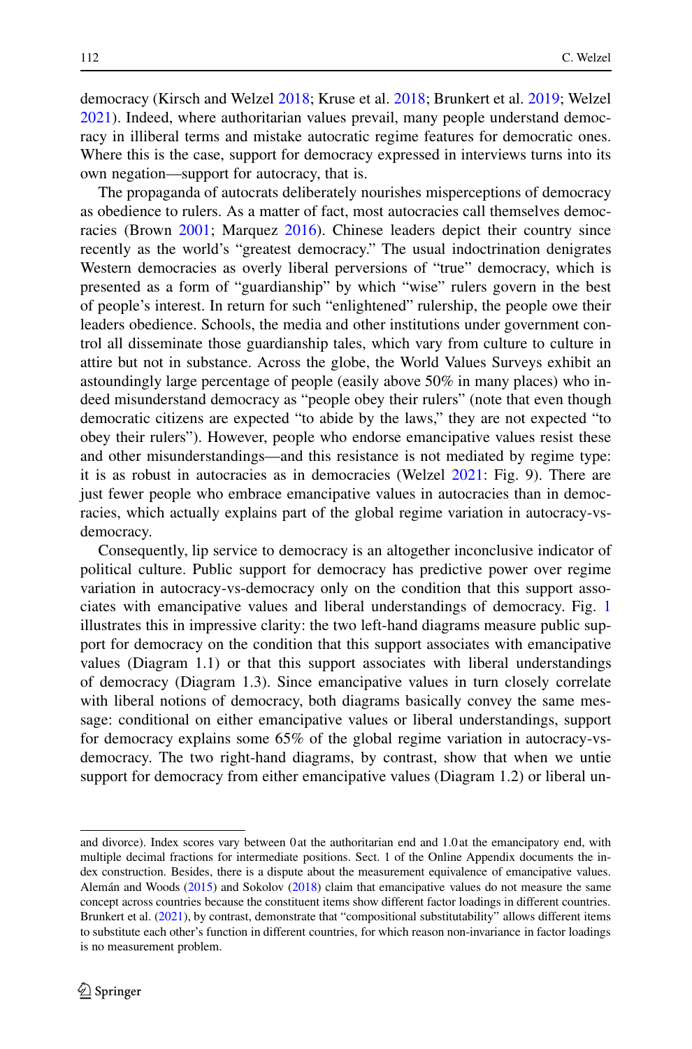democracy (Kirsch and Welzel [2018;](#page-11-6) Kruse et al. [2018;](#page-11-12) Brunkert et al. [2019;](#page-11-13) Welzel [2021\)](#page-12-9). Indeed, where authoritarian values prevail, many people understand democracy in illiberal terms and mistake autocratic regime features for democratic ones. Where this is the case, support for democracy expressed in interviews turns into its own negation—support for autocracy, that is.

The propaganda of autocrats deliberately nourishes misperceptions of democracy as obedience to rulers. As a matter of fact, most autocracies call themselves democracies (Brown [2001;](#page-11-14) Marquez [2016\)](#page-11-15). Chinese leaders depict their country since recently as the world's "greatest democracy." The usual indoctrination denigrates Western democracies as overly liberal perversions of "true" democracy, which is presented as a form of "guardianship" by which "wise" rulers govern in the best of people's interest. In return for such "enlightened" rulership, the people owe their leaders obedience. Schools, the media and other institutions under government control all disseminate those guardianship tales, which vary from culture to culture in attire but not in substance. Across the globe, the World Values Surveys exhibit an astoundingly large percentage of people (easily above 50% in many places) who indeed misunderstand democracy as "people obey their rulers" (note that even though democratic citizens are expected "to abide by the laws," they are not expected "to obey their rulers"). However, people who endorse emancipative values resist these and other misunderstandings—and this resistance is not mediated by regime type: it is as robust in autocracies as in democracies (Welzel [2021:](#page-12-9) Fig. 9). There are just fewer people who embrace emancipative values in autocracies than in democracies, which actually explains part of the global regime variation in autocracy-vsdemocracy.

Consequently, lip service to democracy is an altogether inconclusive indicator of political culture. Public support for democracy has predictive power over regime variation in autocracy-vs-democracy only on the condition that this support associates with emancipative values and liberal understandings of democracy. Fig. [1](#page-7-0) illustrates this in impressive clarity: the two left-hand diagrams measure public support for democracy on the condition that this support associates with emancipative values (Diagram 1.1) or that this support associates with liberal understandings of democracy (Diagram 1.3). Since emancipative values in turn closely correlate with liberal notions of democracy, both diagrams basically convey the same message: conditional on either emancipative values or liberal understandings, support for democracy explains some 65% of the global regime variation in autocracy-vsdemocracy. The two right-hand diagrams, by contrast, show that when we untie support for democracy from either emancipative values (Diagram 1.2) or liberal un-

and divorce). Index scores vary between 0 at the authoritarian end and 1.0 at the emancipatory end, with multiple decimal fractions for intermediate positions. Sect. 1 of the Online Appendix documents the index construction. Besides, there is a dispute about the measurement equivalence of emancipative values. Alemán and Woods [\(2015\)](#page-11-16) and Sokolov [\(2018\)](#page-12-10) claim that emancipative values do not measure the same concept across countries because the constituent items show different factor loadings in different countries. Brunkert et al. [\(2021\)](#page-11-17), by contrast, demonstrate that "compositional substitutability" allows different items to substitute each other's function in different countries, for which reason non-invariance in factor loadings is no measurement problem.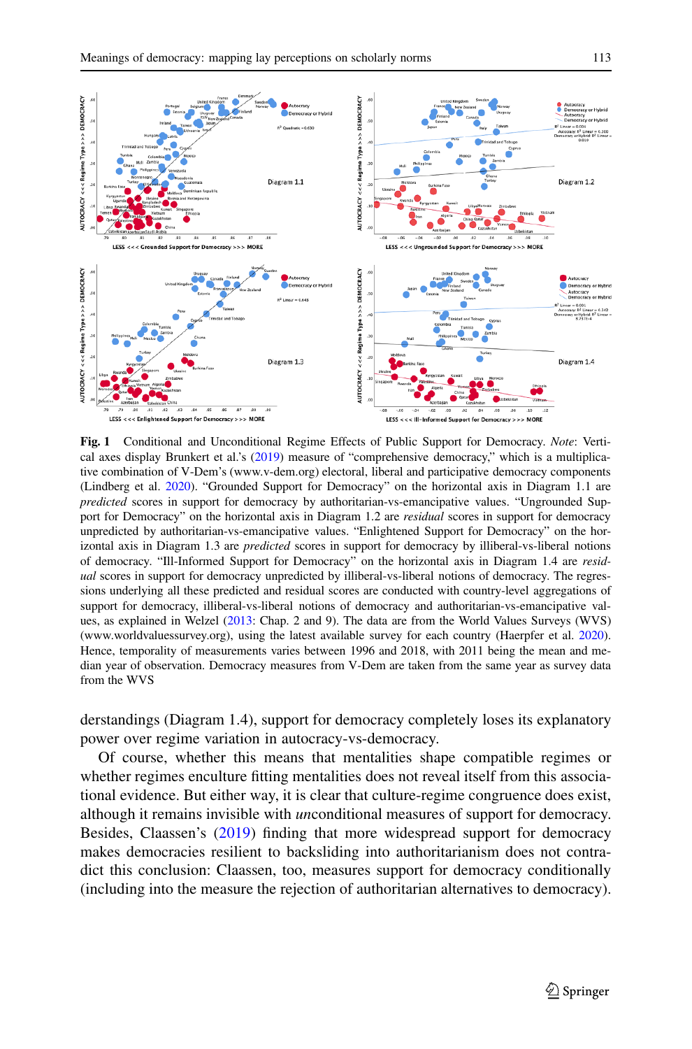

<span id="page-7-0"></span>**Fig. 1** Conditional and Unconditional Regime Effects of Public Support for Democracy. *Note*: Vertical axes display Brunkert et al.'s [\(2019\)](#page-11-13) measure of "comprehensive democracy," which is a multiplicative combination of V-Dem's (www.v-dem.org) electoral, liberal and participative democracy components (Lindberg et al. [2020\)](#page-11-18). "Grounded Support for Democracy" on the horizontal axis in Diagram 1.1 are *predicted* scores in support for democracy by authoritarian-vs-emancipative values. "Ungrounded Support for Democracy" on the horizontal axis in Diagram 1.2 are *residual* scores in support for democracy unpredicted by authoritarian-vs-emancipative values. "Enlightened Support for Democracy" on the horizontal axis in Diagram 1.3 are *predicted* scores in support for democracy by illiberal-vs-liberal notions of democracy. "Ill-Informed Support for Democracy" on the horizontal axis in Diagram 1.4 are *residual* scores in support for democracy unpredicted by illiberal-vs-liberal notions of democracy. The regressions underlying all these predicted and residual scores are conducted with country-level aggregations of support for democracy, illiberal-vs-liberal notions of democracy and authoritarian-vs-emancipative values, as explained in Welzel [\(2013:](#page-12-5) Chap. 2 and 9). The data are from the World Values Surveys (WVS) (www.worldvaluessurvey.org), using the latest available survey for each country (Haerpfer et al. [2020\)](#page-11-11). Hence, temporality of measurements varies between 1996 and 2018, with 2011 being the mean and median year of observation. Democracy measures from V-Dem are taken from the same year as survey data from the WVS

derstandings (Diagram 1.4), support for democracy completely loses its explanatory power over regime variation in autocracy-vs-democracy.

Of course, whether this means that mentalities shape compatible regimes or whether regimes enculture fitting mentalities does not reveal itself from this associational evidence. But either way, it is clear that culture-regime congruence does exist, although it remains invisible with *un*conditional measures of support for democracy. Besides, Claassen's [\(2019\)](#page-11-19) finding that more widespread support for democracy makes democracies resilient to backsliding into authoritarianism does not contradict this conclusion: Claassen, too, measures support for democracy conditionally (including into the measure the rejection of authoritarian alternatives to democracy).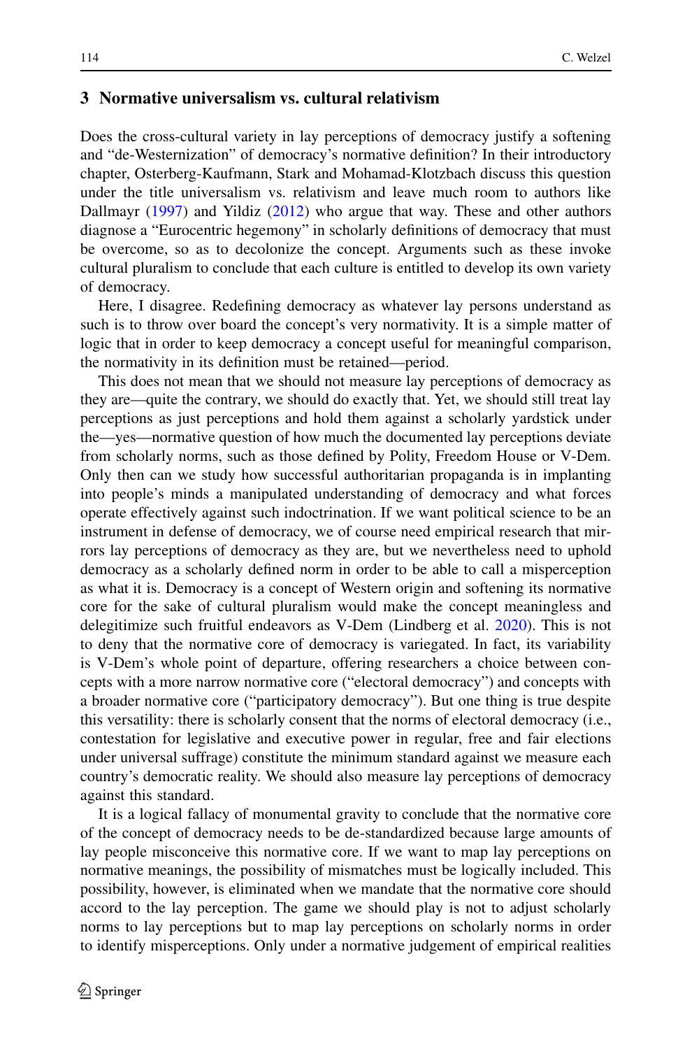### **3 Normative universalism vs. cultural relativism**

Does the cross-cultural variety in lay perceptions of democracy justify a softening and "de-Westernization" of democracy's normative definition? In their introductory chapter, Osterberg-Kaufmann, Stark and Mohamad-Klotzbach discuss this question under the title universalism vs. relativism and leave much room to authors like Dallmayr [\(1997\)](#page-11-20) and Yildiz [\(2012\)](#page-12-11) who argue that way. These and other authors diagnose a "Eurocentric hegemony" in scholarly definitions of democracy that must be overcome, so as to decolonize the concept. Arguments such as these invoke cultural pluralism to conclude that each culture is entitled to develop its own variety of democracy.

Here, I disagree. Redefining democracy as whatever lay persons understand as such is to throw over board the concept's very normativity. It is a simple matter of logic that in order to keep democracy a concept useful for meaningful comparison, the normativity in its definition must be retained—period.

This does not mean that we should not measure lay perceptions of democracy as they are—quite the contrary, we should do exactly that. Yet, we should still treat lay perceptions as just perceptions and hold them against a scholarly yardstick under the—yes—normative question of how much the documented lay perceptions deviate from scholarly norms, such as those defined by Polity, Freedom House or V-Dem. Only then can we study how successful authoritarian propaganda is in implanting into people's minds a manipulated understanding of democracy and what forces operate effectively against such indoctrination. If we want political science to be an instrument in defense of democracy, we of course need empirical research that mirrors lay perceptions of democracy as they are, but we nevertheless need to uphold democracy as a scholarly defined norm in order to be able to call a misperception as what it is. Democracy is a concept of Western origin and softening its normative core for the sake of cultural pluralism would make the concept meaningless and delegitimize such fruitful endeavors as V-Dem (Lindberg et al. [2020\)](#page-11-18). This is not to deny that the normative core of democracy is variegated. In fact, its variability is V-Dem's whole point of departure, offering researchers a choice between concepts with a more narrow normative core ("electoral democracy") and concepts with a broader normative core ("participatory democracy"). But one thing is true despite this versatility: there is scholarly consent that the norms of electoral democracy (i.e., contestation for legislative and executive power in regular, free and fair elections under universal suffrage) constitute the minimum standard against we measure each country's democratic reality. We should also measure lay perceptions of democracy against this standard.

It is a logical fallacy of monumental gravity to conclude that the normative core of the concept of democracy needs to be de-standardized because large amounts of lay people misconceive this normative core. If we want to map lay perceptions on normative meanings, the possibility of mismatches must be logically included. This possibility, however, is eliminated when we mandate that the normative core should accord to the lay perception. The game we should play is not to adjust scholarly norms to lay perceptions but to map lay perceptions on scholarly norms in order to identify misperceptions. Only under a normative judgement of empirical realities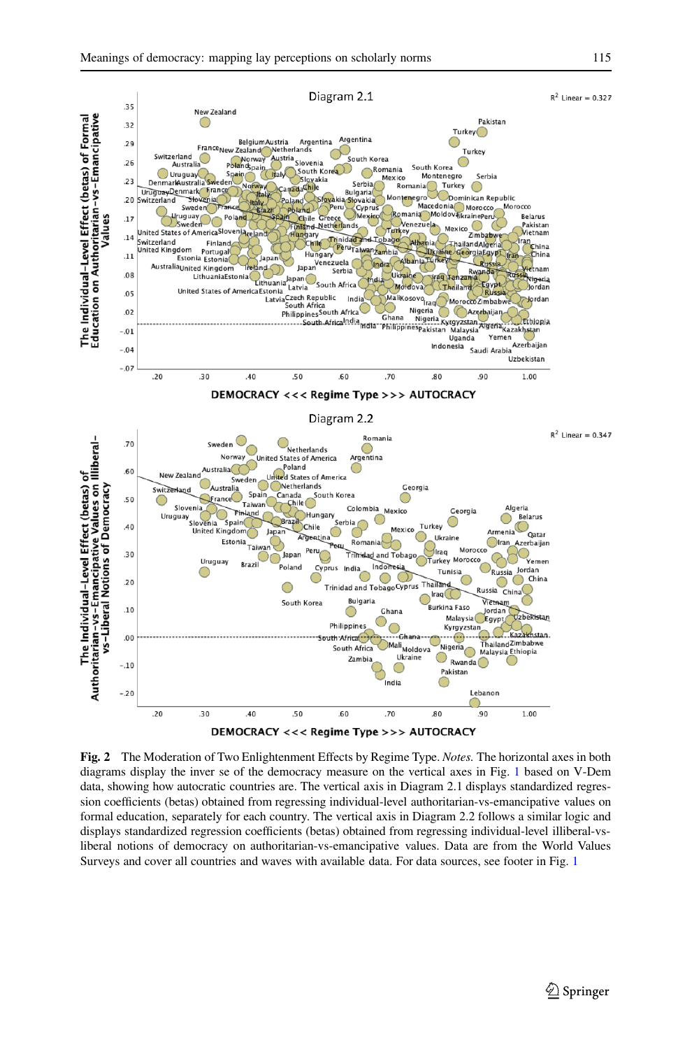

<span id="page-9-0"></span>**Fig. 2** The Moderation of Two Enlightenment Effects by Regime Type. *Notes.* The horizontal axes in both diagrams display the inver se of the democracy measure on the vertical axes in Fig. [1](#page-7-0) based on V-Dem data, showing how autocratic countries are. The vertical axis in Diagram 2.1 displays standardized regression coefficients (betas) obtained from regressing individual-level authoritarian-vs-emancipative values on formal education, separately for each country. The vertical axis in Diagram 2.2 follows a similar logic and displays standardized regression coefficients (betas) obtained from regressing individual-level illiberal-vsliberal notions of democracy on authoritarian-vs-emancipative values. Data are from the World Values Surveys and cover all countries and waves with available data. For data sources, see footer in Fig. [1](#page-7-0)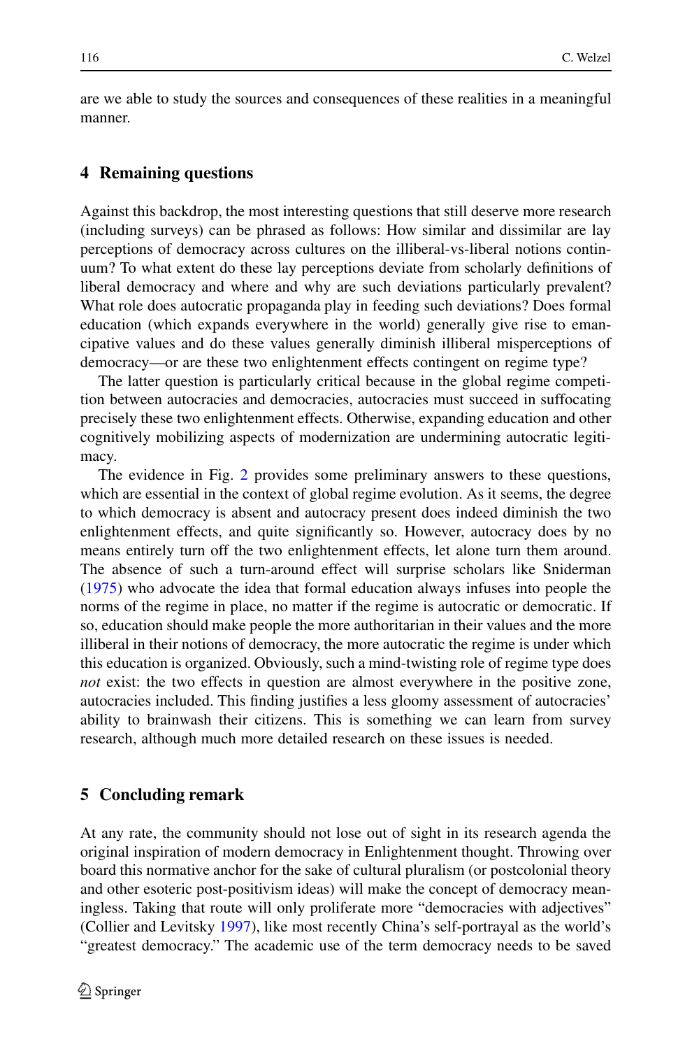are we able to study the sources and consequences of these realities in a meaningful manner.

### **4 Remaining questions**

Against this backdrop, the most interesting questions that still deserve more research (including surveys) can be phrased as follows: How similar and dissimilar are lay perceptions of democracy across cultures on the illiberal-vs-liberal notions continuum? To what extent do these lay perceptions deviate from scholarly definitions of liberal democracy and where and why are such deviations particularly prevalent? What role does autocratic propaganda play in feeding such deviations? Does formal education (which expands everywhere in the world) generally give rise to emancipative values and do these values generally diminish illiberal misperceptions of democracy—or are these two enlightenment effects contingent on regime type?

The latter question is particularly critical because in the global regime competition between autocracies and democracies, autocracies must succeed in suffocating precisely these two enlightenment effects. Otherwise, expanding education and other cognitively mobilizing aspects of modernization are undermining autocratic legitimacy.

The evidence in Fig. [2](#page-9-0) provides some preliminary answers to these questions, which are essential in the context of global regime evolution. As it seems, the degree to which democracy is absent and autocracy present does indeed diminish the two enlightenment effects, and quite significantly so. However, autocracy does by no means entirely turn off the two enlightenment effects, let alone turn them around. The absence of such a turn-around effect will surprise scholars like Sniderman [\(1975\)](#page-12-12) who advocate the idea that formal education always infuses into people the norms of the regime in place, no matter if the regime is autocratic or democratic. If so, education should make people the more authoritarian in their values and the more illiberal in their notions of democracy, the more autocratic the regime is under which this education is organized. Obviously, such a mind-twisting role of regime type does *not* exist: the two effects in question are almost everywhere in the positive zone, autocracies included. This finding justifies a less gloomy assessment of autocracies' ability to brainwash their citizens. This is something we can learn from survey research, although much more detailed research on these issues is needed.

## **5 Concluding remark**

At any rate, the community should not lose out of sight in its research agenda the original inspiration of modern democracy in Enlightenment thought. Throwing over board this normative anchor for the sake of cultural pluralism (or postcolonial theory and other esoteric post-positivism ideas) will make the concept of democracy meaningless. Taking that route will only proliferate more "democracies with adjectives" (Collier and Levitsky [1997\)](#page-11-21), like most recently China's self-portrayal as the world's "greatest democracy." The academic use of the term democracy needs to be saved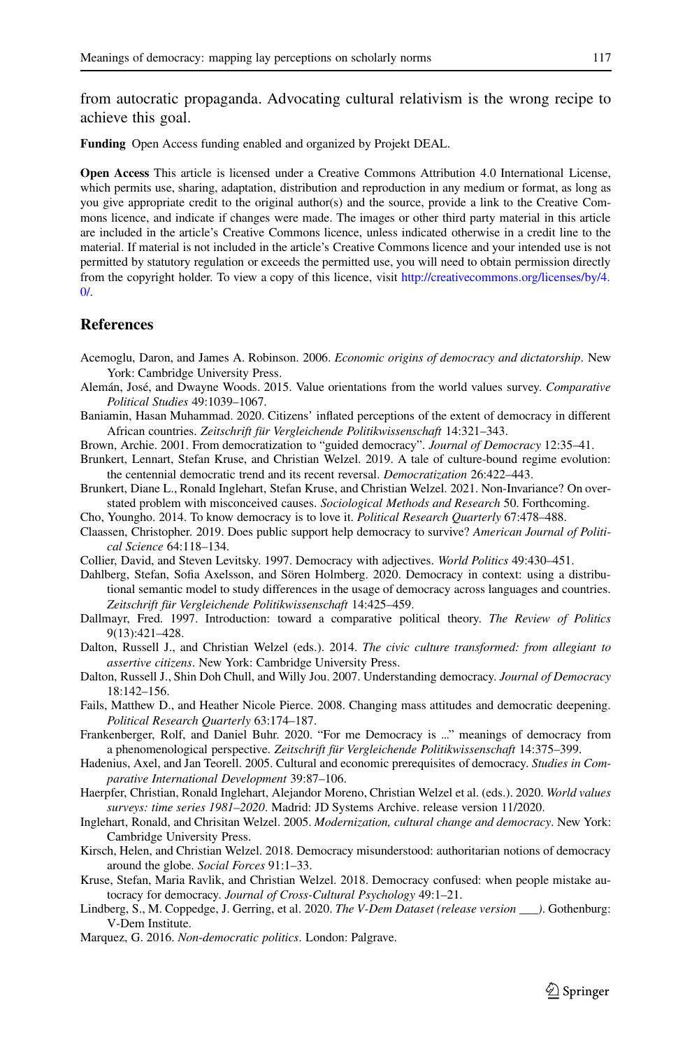from autocratic propaganda. Advocating cultural relativism is the wrong recipe to achieve this goal.

**Funding** Open Access funding enabled and organized by Projekt DEAL.

**Open Access** This article is licensed under a Creative Commons Attribution 4.0 International License, which permits use, sharing, adaptation, distribution and reproduction in any medium or format, as long as you give appropriate credit to the original author(s) and the source, provide a link to the Creative Commons licence, and indicate if changes were made. The images or other third party material in this article are included in the article's Creative Commons licence, unless indicated otherwise in a credit line to the material. If material is not included in the article's Creative Commons licence and your intended use is not permitted by statutory regulation or exceeds the permitted use, you will need to obtain permission directly from the copyright holder. To view a copy of this licence, visit [http://creativecommons.org/licenses/by/4.](http://creativecommons.org/licenses/by/4.0/)  $\Omega$ 

#### **References**

- <span id="page-11-16"></span><span id="page-11-8"></span>Acemoglu, Daron, and James A. Robinson. 2006. *Economic origins of democracy and dictatorship*. New York: Cambridge University Press.
- <span id="page-11-0"></span>Alemán, José, and Dwayne Woods. 2015. Value orientations from the world values survey. *Comparative Political Studies* 49:1039–1067.
- Baniamin, Hasan Muhammad. 2020. Citizens' inflated perceptions of the extent of democracy in different African countries. *Zeitschrift für Vergleichende Politikwissenschaft* 14:321–343.
- <span id="page-11-14"></span><span id="page-11-13"></span>Brown, Archie. 2001. From democratization to "guided democracy". *Journal of Democracy* 12:35–41.
- <span id="page-11-17"></span>Brunkert, Lennart, Stefan Kruse, and Christian Welzel. 2019. A tale of culture-bound regime evolution: the centennial democratic trend and its recent reversal. *Democratization* 26:422–443.
- Brunkert, Diane L., Ronald Inglehart, Stefan Kruse, and Christian Welzel. 2021. Non-Invariance? On overstated problem with misconceived causes. *Sociological Methods and Research* 50. Forthcoming.
- <span id="page-11-19"></span><span id="page-11-5"></span>Cho, Youngho. 2014. To know democracy is to love it. *Political Research Quarterly* 67:478–488.
- <span id="page-11-21"></span>Claassen, Christopher. 2019. Does public support help democracy to survive? *American Journal of Political Science* 64:118–134.
- <span id="page-11-1"></span>Collier, David, and Steven Levitsky. 1997. Democracy with adjectives. *World Politics* 49:430–451.
- Dahlberg, Stefan, Sofia Axelsson, and Sören Holmberg. 2020. Democracy in context: using a distributional semantic model to study differences in the usage of democracy across languages and countries. *Zeitschrift für Vergleichende Politikwissenschaft* 14:425–459.
- <span id="page-11-20"></span>Dallmayr, Fred. 1997. Introduction: toward a comparative political theory. *The Review of Politics* 9(13):421–428.
- <span id="page-11-4"></span>Dalton, Russell J., and Christian Welzel (eds.). 2014. *The civic culture transformed: from allegiant to assertive citizens*. New York: Cambridge University Press.
- <span id="page-11-7"></span>Dalton, Russell J., Shin Doh Chull, and Willy Jou. 2007. Understanding democracy. *Journal of Democracy* 18:142–156.
- <span id="page-11-10"></span>Fails, Matthew D., and Heather Nicole Pierce. 2008. Changing mass attitudes and democratic deepening. *Political Research Quarterly* 63:174–187.
- <span id="page-11-2"></span>Frankenberger, Rolf, and Daniel Buhr. 2020. "For me Democracy is ..." meanings of democracy from a phenomenological perspective. *Zeitschrift für Vergleichende Politikwissenschaft* 14:375–399.
- <span id="page-11-11"></span><span id="page-11-9"></span>Hadenius, Axel, and Jan Teorell. 2005. Cultural and economic prerequisites of democracy. *Studies in Comparative International Development* 39:87–106.
- Haerpfer, Christian, Ronald Inglehart, Alejandor Moreno, Christian Welzel et al. (eds.). 2020. *World values surveys: time series 1981–2020*. Madrid: JD Systems Archive. release version 11/2020.
- <span id="page-11-3"></span>Inglehart, Ronald, and Chrisitan Welzel. 2005. *Modernization, cultural change and democracy*. New York: Cambridge University Press.
- <span id="page-11-6"></span>Kirsch, Helen, and Christian Welzel. 2018. Democracy misunderstood: authoritarian notions of democracy around the globe. *Social Forces* 91:1–33.
- <span id="page-11-12"></span>Kruse, Stefan, Maria Ravlik, and Christian Welzel. 2018. Democracy confused: when people mistake autocracy for democracy. *Journal of Cross-Cultural Psychology* 49:1–21.
- <span id="page-11-18"></span>Lindberg, S., M. Coppedge, J. Gerring, et al. 2020. *The V-Dem Dataset (release version \_\_\_)*. Gothenburg: V-Dem Institute.
- <span id="page-11-15"></span>Marquez, G. 2016. *Non-democratic politics*. London: Palgrave.